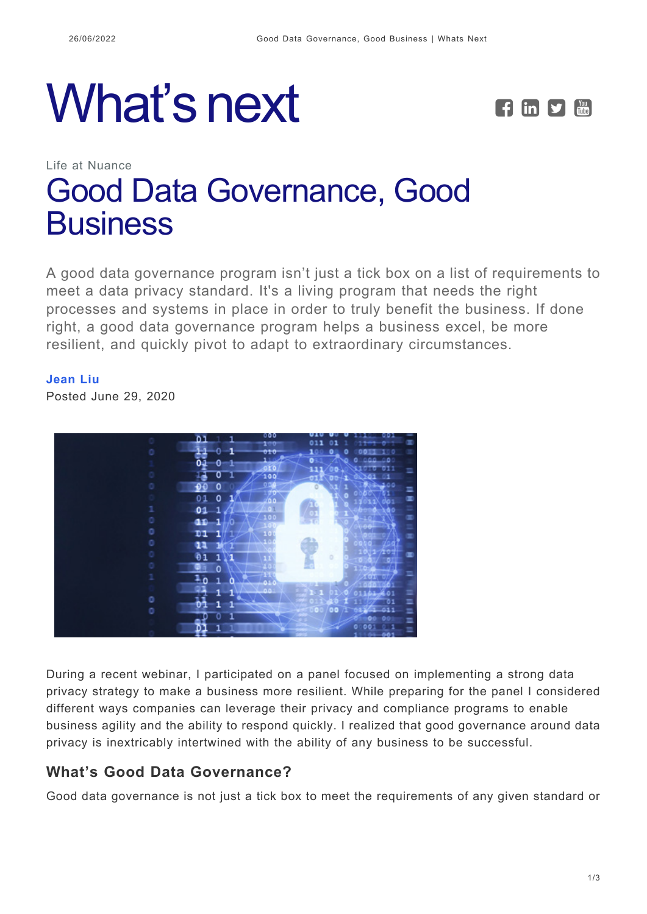# What's next **FEDE**



# Life at Nuance [Good Data Governance, Good](https://whatsnext.nuance.com/life-at-nuance/good-data-governance-good-business/) **[Business](https://whatsnext.nuance.com/life-at-nuance/good-data-governance-good-business/)**

A good data governance program isn't just a tick box on a list of requirements to meet a data privacy standard. It's a living program that needs the right processes and systems in place in order to truly benefit the business. If done right, a good data governance program helps a business excel, be more resilient, and quickly pivot to adapt to extraordinary circumstances.

#### **[Jean Liu](https://whatsnext.nuance.com/author/jean-liu/)**

Posted June 29, 2020



During a recent webinar, I participated on a panel focused on implementing a strong data privacy strategy to make a business more resilient. While preparing for the panel I considered different ways companies can leverage their privacy and compliance programs to enable business agility and the ability to respond quickly. I realized that good governance around data privacy is inextricably intertwined with the ability of any business to be successful.

### **What's Good Data Governance?**

Good data governance is not just a tick box to meet the requirements of any given standard or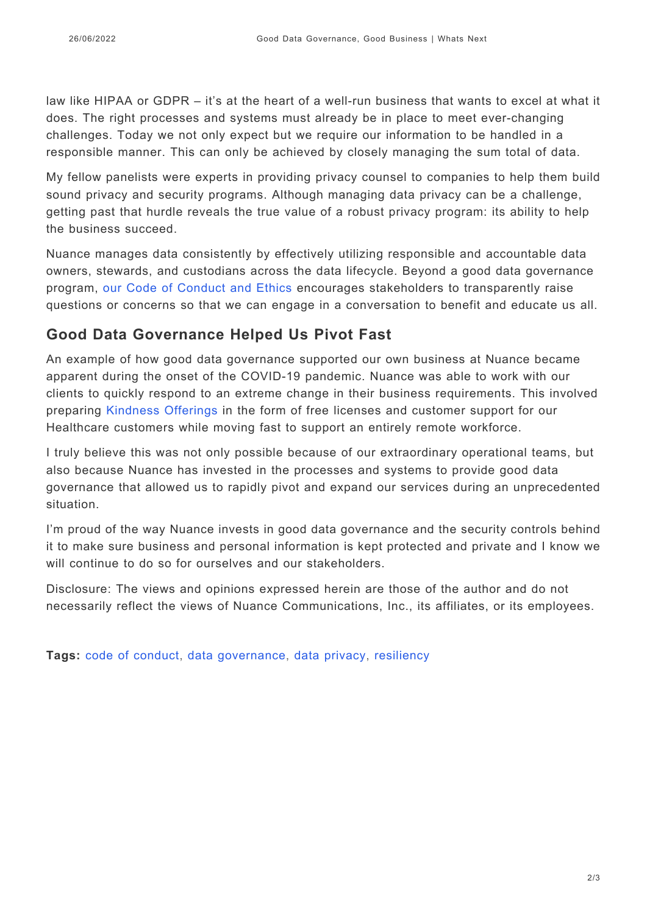law like HIPAA or GDPR – it's at the heart of a well-run business that wants to excel at what it does. The right processes and systems must already be in place to meet ever-changing challenges. Today we not only expect but we require our information to be handled in a responsible manner. This can only be achieved by closely managing the sum total of data.

My fellow panelists were experts in providing privacy counsel to companies to help them build sound privacy and security programs. Although managing data privacy can be a challenge, getting past that hurdle reveals the true value of a robust privacy program: its ability to help the business succeed.

Nuance manages data consistently by effectively utilizing responsible and accountable data owners, stewards, and custodians across the data lifecycle. Beyond a good data governance program, [our Code of Conduct and Ethics](https://s22.q4cdn.com/727546961/files/doc_downloads/gov_docs/Nuance-Code-of-Conduct-EXTERNAL-pages.pdf) encourages stakeholders to transparently raise questions or concerns so that we can engage in a conversation to benefit and educate us all.

## **Good Data Governance Helped Us Pivot Fast**

An example of how good data governance supported our own business at Nuance became apparent during the onset of the COVID-19 pandemic. Nuance was able to work with our clients to quickly respond to an extreme change in their business requirements. This involved preparing [Kindness Offerings](https://whatsnext.nuance.com/healthcare/radiology-and-covid-19/) in the form of free licenses and customer support for our Healthcare customers while moving fast to support an entirely remote workforce.

I truly believe this was not only possible because of our extraordinary operational teams, but also because Nuance has invested in the processes and systems to provide good data governance that allowed us to rapidly pivot and expand our services during an unprecedented situation.

I'm proud of the way Nuance invests in good data governance and the security controls behind it to make sure business and personal information is kept protected and private and I know we will continue to do so for ourselves and our stakeholders.

Disclosure: The views and opinions expressed herein are those of the author and do not necessarily reflect the views of Nuance Communications, Inc., its affiliates, or its employees.

**Tags:** [code of conduct](https://whatsnext.nuance.com/tag/code-of-conduct/), [data governance](https://whatsnext.nuance.com/tag/data-governance/), [data privacy](https://whatsnext.nuance.com/tag/data-privacy/), [resiliency](https://whatsnext.nuance.com/tag/resiliency/)